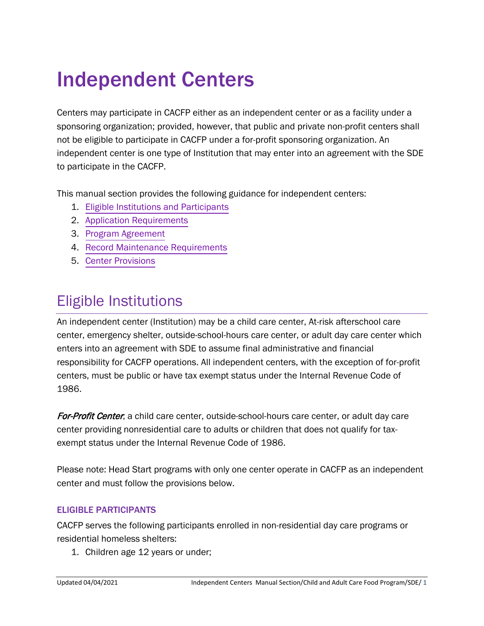# Independent Centers

Centers may participate in CACFP either as an independent center or as a facility under a sponsoring organization; provided, however, that public and private non-profit centers shall not be eligible to participate in CACFP under a for-profit sponsoring organization. An independent center is one type of Institution that may enter into an agreement with the SDE to participate in the CACFP.

This manual section provides the following guidance for independent centers:

- 1. Eligible Institutions and Participants
- 2. [Application Requirements](#page-1-0)
- 3. [Program Agreement](#page-2-0)
- 4. [Record Maintenance Requirements](#page-2-0)
- 5. [Center Provisions](#page-5-0)

# Eligible Institutions

An independent center (Institution) may be a child care center, At-risk afterschool care center, emergency shelter, outside-school-hours care center, or adult day care center which enters into an agreement with SDE to assume final administrative and financial responsibility for CACFP operations. All independent centers, with the exception of for-profit centers, must be public or have tax exempt status under the Internal Revenue Code of 1986.

For-Profit Center; a child care center, outside-school-hours care center, or adult day care center providing nonresidential care to adults or children that does not qualify for taxexempt status under the Internal Revenue Code of 1986.

Please note: Head Start programs with only one center operate in CACFP as an independent center and must follow the provisions below.

#### ELIGIBLE PARTICIPANTS

CACFP serves the following participants enrolled in non-residential day care programs or residential homeless shelters:

1. Children age 12 years or under;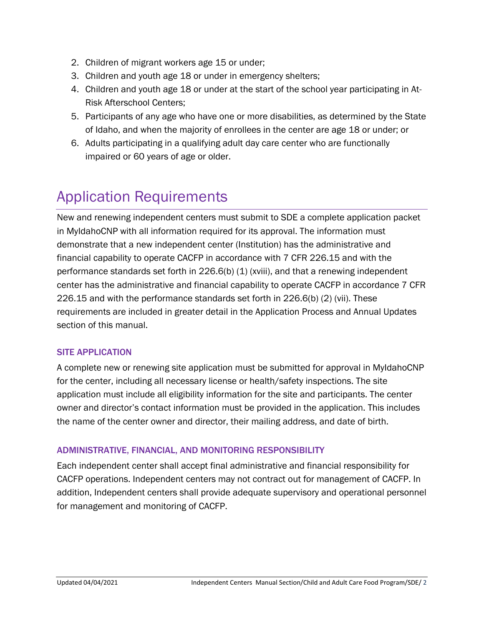- <span id="page-1-0"></span>2. Children of migrant workers age 15 or under;
- 3. Children and youth age 18 or under in emergency shelters;
- 4. Children and youth age 18 or under at the start of the school year participating in At-Risk Afterschool Centers;
- 5. Participants of any age who have one or more disabilities, as determined by the State of Idaho, and when the majority of enrollees in the center are age 18 or under; or
- 6. Adults participating in a qualifying adult day care center who are functionally impaired or 60 years of age or older.

# Application Requirements

New and renewing independent centers must submit to SDE a complete application packet in MyIdahoCNP with all information required for its approval. The information must demonstrate that a new independent center (Institution) has the administrative and financial capability to operate CACFP in accordance with 7 CFR 226.15 and with the performance standards set forth in 226.6(b) (1) (xviii), and that a renewing independent center has the administrative and financial capability to operate CACFP in accordance 7 CFR 226.15 and with the performance standards set forth in 226.6(b) (2) (vii). These requirements are included in greater detail in the Application Process and Annual Updates section of this manual.

### SITE APPLICATION

A complete new or renewing site application must be submitted for approval in MyIdahoCNP for the center, including all necessary license or health/safety inspections. The site application must include all eligibility information for the site and participants. The center owner and director's contact information must be provided in the application. This includes the name of the center owner and director, their mailing address, and date of birth.

### ADMINISTRATIVE, FINANCIAL, AND MONITORING RESPONSIBILITY

Each independent center shall accept final administrative and financial responsibility for CACFP operations. Independent centers may not contract out for management of CACFP. In addition, Independent centers shall provide adequate supervisory and operational personnel for management and monitoring of CACFP.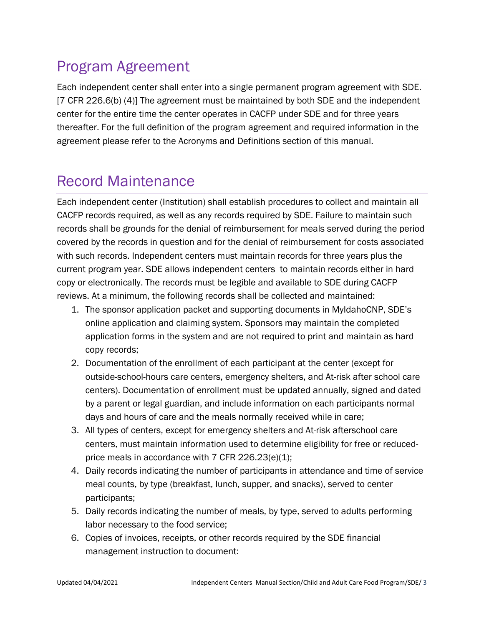# <span id="page-2-0"></span>Program Agreement

Each independent center shall enter into a single permanent program agreement with SDE. [7 CFR 226.6(b) (4)] The agreement must be maintained by both SDE and the independent center for the entire time the center operates in CACFP under SDE and for three years thereafter. For the full definition of the program agreement and required information in the agreement please refer to the Acronyms and Definitions section of this manual.

# Record Maintenance

Each independent center (Institution) shall establish procedures to collect and maintain all CACFP records required, as well as any records required by SDE. Failure to maintain such records shall be grounds for the denial of reimbursement for meals served during the period covered by the records in question and for the denial of reimbursement for costs associated with such records. Independent centers must maintain records for three years plus the current program year. SDE allows independent centers to maintain records either in hard copy or electronically. The records must be legible and available to SDE during CACFP reviews. At a minimum, the following records shall be collected and maintained:

- 1. The sponsor application packet and supporting documents in MyIdahoCNP, SDE's online application and claiming system. Sponsors may maintain the completed application forms in the system and are not required to print and maintain as hard copy records;
- 2. Documentation of the enrollment of each participant at the center (except for outside-school-hours care centers, emergency shelters, and At-risk after school care centers). Documentation of enrollment must be updated annually, signed and dated by a parent or legal guardian, and include information on each participants normal days and hours of care and the meals normally received while in care;
- 3. All types of centers, except for emergency shelters and At-risk afterschool care centers, must maintain information used to determine eligibility for free or reducedprice meals in accordance with 7 CFR 226.23(e)(1);
- 4. Daily records indicating the number of participants in attendance and time of service meal counts, by type (breakfast, lunch, supper, and snacks), served to center participants;
- 5. Daily records indicating the number of meals, by type, served to adults performing labor necessary to the food service;
- 6. Copies of invoices, receipts, or other records required by the SDE financial management instruction to document: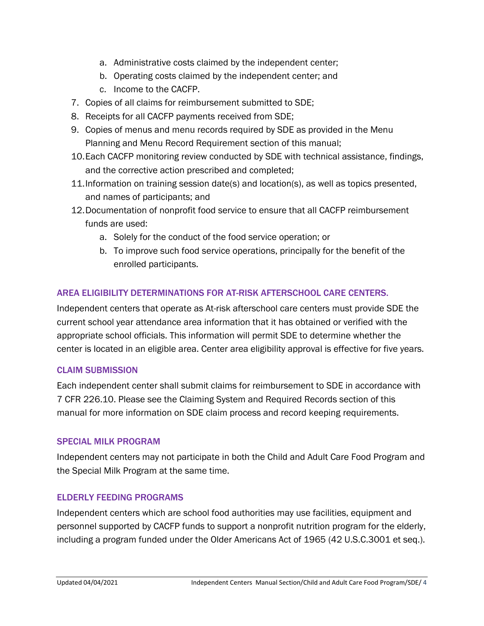- a. Administrative costs claimed by the independent center;
- b. Operating costs claimed by the independent center; and
- c. Income to the CACFP.
- 7. Copies of all claims for reimbursement submitted to SDE;
- 8. Receipts for all CACFP payments received from SDE;
- 9. Copies of menus and menu records required by SDE as provided in the Menu Planning and Menu Record Requirement section of this manual;
- 10.Each CACFP monitoring review conducted by SDE with technical assistance, findings, and the corrective action prescribed and completed;
- 11.Information on training session date(s) and location(s), as well as topics presented, and names of participants; and
- 12.Documentation of nonprofit food service to ensure that all CACFP reimbursement funds are used:
	- a. Solely for the conduct of the food service operation; or
	- b. To improve such food service operations, principally for the benefit of the enrolled participants.

# AREA ELIGIBILITY DETERMINATIONS FOR AT-RISK AFTERSCHOOL CARE CENTERS.

Independent centers that operate as At-risk afterschool care centers must provide SDE the current school year attendance area information that it has obtained or verified with the appropriate school officials. This information will permit SDE to determine whether the center is located in an eligible area. Center area eligibility approval is effective for five years.

### CLAIM SUBMISSION

Each independent center shall submit claims for reimbursement to SDE in accordance with 7 CFR 226.10. Please see the Claiming System and Required Records section of this manual for more information on SDE claim process and record keeping requirements.

### SPECIAL MILK PROGRAM

Independent centers may not participate in both the Child and Adult Care Food Program and the Special Milk Program at the same time.

### ELDERLY FEEDING PROGRAMS

Independent centers which are school food authorities may use facilities, equipment and personnel supported by CACFP funds to support a nonprofit nutrition program for the elderly, including a program funded under the Older Americans Act of 1965 (42 U.S.C.3001 et seq.).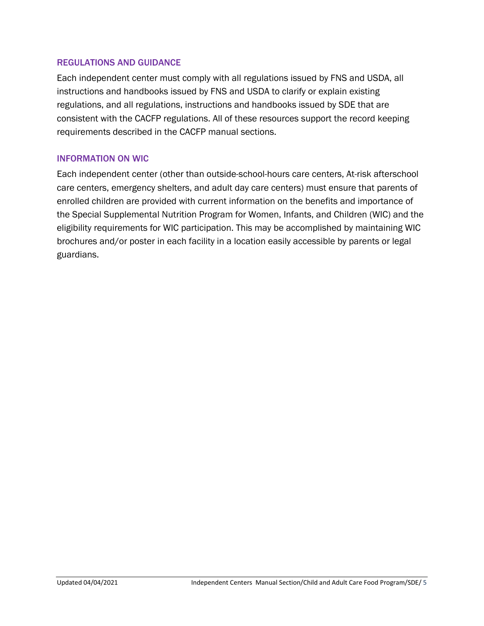#### REGULATIONS AND GUIDANCE

Each independent center must comply with all regulations issued by FNS and USDA, all instructions and handbooks issued by FNS and USDA to clarify or explain existing regulations, and all regulations, instructions and handbooks issued by SDE that are consistent with the CACFP regulations. All of these resources support the record keeping requirements described in the CACFP manual sections.

#### INFORMATION ON WIC

Each independent center (other than outside-school-hours care centers, At-risk afterschool care centers, emergency shelters, and adult day care centers) must ensure that parents of enrolled children are provided with current information on the benefits and importance of the Special Supplemental Nutrition Program for Women, Infants, and Children (WIC) and the eligibility requirements for WIC participation. This may be accomplished by maintaining WIC brochures and/or poster in each facility in a location easily accessible by parents or legal guardians.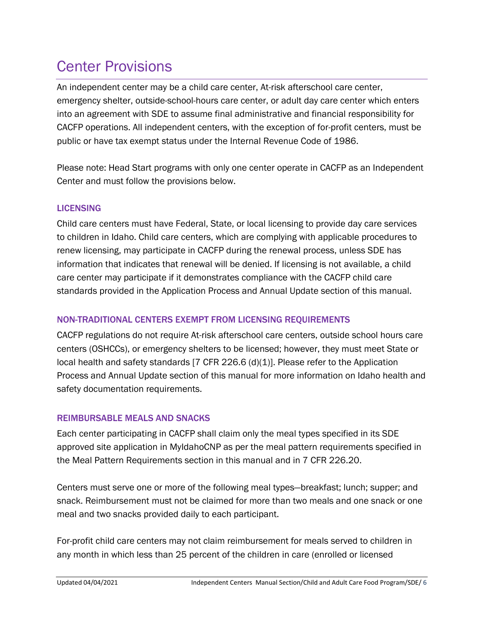# <span id="page-5-0"></span>Center Provisions

An independent center may be a child care center, At-risk afterschool care center, emergency shelter, outside-school-hours care center, or adult day care center which enters into an agreement with SDE to assume final administrative and financial responsibility for CACFP operations. All independent centers, with the exception of for-profit centers, must be public or have tax exempt status under the Internal Revenue Code of 1986.

Please note: Head Start programs with only one center operate in CACFP as an Independent Center and must follow the provisions below.

#### **LICENSING**

Child care centers must have Federal, State, or local licensing to provide day care services to children in Idaho. Child care centers, which are complying with applicable procedures to renew licensing, may participate in CACFP during the renewal process, unless SDE has information that indicates that renewal will be denied. If licensing is not available, a child care center may participate if it demonstrates compliance with the CACFP child care standards provided in the Application Process and Annual Update section of this manual.

### NON-TRADITIONAL CENTERS EXEMPT FROM LICENSING REQUIREMENTS

CACFP regulations do not require At-risk afterschool care centers, outside school hours care centers (OSHCCs), or emergency shelters to be licensed; however, they must meet State or local health and safety standards [7 CFR 226.6  $(d)(1)$ ]. Please refer to the Application Process and Annual Update section of this manual for more information on Idaho health and safety documentation requirements.

#### REIMBURSABLE MEALS AND SNACKS

Each center participating in CACFP shall claim only the meal types specified in its SDE approved site application in MyIdahoCNP as per the meal pattern requirements specified in the Meal Pattern Requirements section in this manual and in 7 CFR 226.20.

Centers must serve one or more of the following meal types—breakfast; lunch; supper; and snack. Reimbursement must not be claimed for more than two meals and one snack or one meal and two snacks provided daily to each participant.

For-profit child care centers may not claim reimbursement for meals served to children in any month in which less than 25 percent of the children in care (enrolled or licensed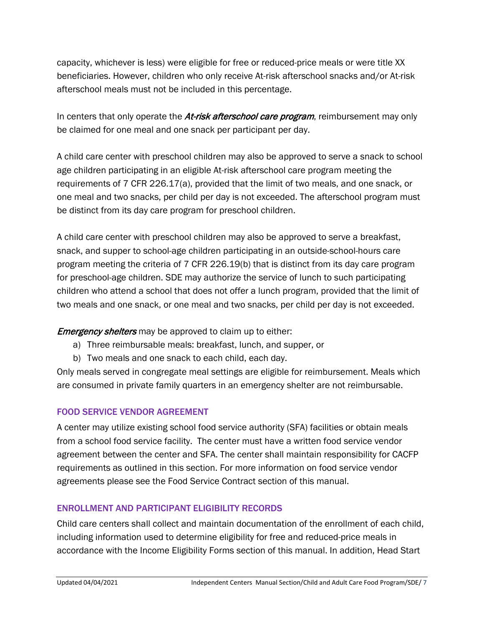capacity, whichever is less) were eligible for free or reduced-price meals or were title XX beneficiaries. However, children who only receive At-risk afterschool snacks and/or At-risk afterschool meals must not be included in this percentage.

In centers that only operate the *At-risk afterschool care program*, reimbursement may only be claimed for one meal and one snack per participant per day.

A child care center with preschool children may also be approved to serve a snack to school age children participating in an eligible At-risk afterschool care program meeting the requirements of 7 CFR 226.17(a), provided that the limit of two meals, and one snack, or one meal and two snacks, per child per day is not exceeded. The afterschool program must be distinct from its day care program for preschool children.

A child care center with preschool children may also be approved to serve a breakfast, snack, and supper to school-age children participating in an outside-school-hours care program meeting the criteria of 7 CFR 226.19(b) that is distinct from its day care program for preschool-age children. SDE may authorize the service of lunch to such participating children who attend a school that does not offer a lunch program, provided that the limit of two meals and one snack, or one meal and two snacks, per child per day is not exceeded.

**Emergency shelters** may be approved to claim up to either:

- a) Three reimbursable meals: breakfast, lunch, and supper, or
- b) Two meals and one snack to each child, each day.

Only meals served in congregate meal settings are eligible for reimbursement. Meals which are consumed in private family quarters in an emergency shelter are not reimbursable.

# FOOD SERVICE VENDOR AGREEMENT

A center may utilize existing school food service authority (SFA) facilities or obtain meals from a school food service facility. The center must have a written food service vendor agreement between the center and SFA. The center shall maintain responsibility for CACFP requirements as outlined in this section. For more information on food service vendor agreements please see the Food Service Contract section of this manual.

# ENROLLMENT AND PARTICIPANT ELIGIBILITY RECORDS

Child care centers shall collect and maintain documentation of the enrollment of each child, including information used to determine eligibility for free and reduced-price meals in accordance with the Income Eligibility Forms section of this manual. In addition, Head Start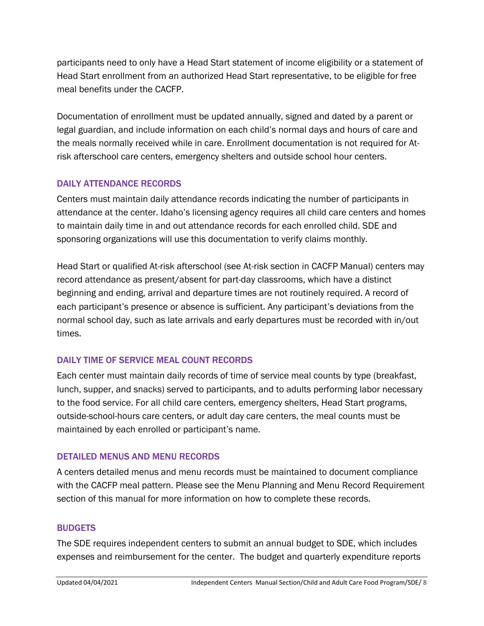participants need to only have a Head Start statement of income eligibility or a statement of Head Start enrollment from an authorized Head Start representative, to be eligible for free meal benefits under the CACFP.

Documentation of enrollment must be updated annually, signed and dated by a parent or legal guardian, and include information on each child's normal days and hours of care and the meals normally received while in care. Enrollment documentation is not required for Atrisk afterschool care centers, emergency shelters and outside school hour centers.

### DAILY ATTENDANCE RECORDS

Centers must maintain daily attendance records indicating the number of participants in attendance at the center. Idaho's licensing agency requires all child care centers and homes to maintain daily time in and out attendance records for each enrolled child. SDE and sponsoring organizations will use this documentation to verify claims monthly.

Head Start or qualified At-risk afterschool (see At-risk section in CACFP Manual) centers may record attendance as present/absent for part-day classrooms, which have a distinct beginning and ending, arrival and departure times are not routinely required. A record of each participant's presence or absence is sufficient. Any participant's deviations from the normal school day, such as late arrivals and early departures must be recorded with in/out times.

### DAILY TIME OF SERVICE MEAL COUNT RECORDS

Each center must maintain daily records of time of service meal counts by type (breakfast, lunch, supper, and snacks) served to participants, and to adults performing labor necessary to the food service. For all child care centers, emergency shelters, Head Start programs, outside-school-hours care centers, or adult day care centers, the meal counts must be maintained by each enrolled or participant's name.

### DETAILED MENUS AND MENU RECORDS

A centers detailed menus and menu records must be maintained to document compliance with the CACFP meal pattern. Please see the Menu Planning and Menu Record Requirement section of this manual for more information on how to complete these records.

#### BUDGETS

The SDE requires independent centers to submit an annual budget to SDE, which includes expenses and reimbursement for the center. The budget and quarterly expenditure reports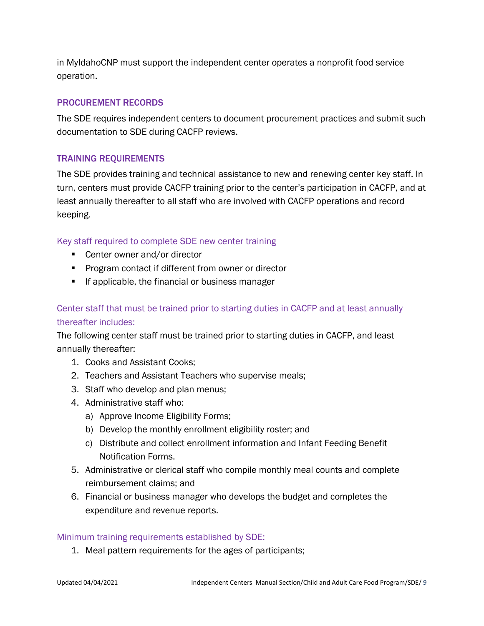in MyIdahoCNP must support the independent center operates a nonprofit food service operation.

#### PROCUREMENT RECORDS

The SDE requires independent centers to document procurement practices and submit such documentation to SDE during CACFP reviews.

#### TRAINING REQUIREMENTS

The SDE provides training and technical assistance to new and renewing center key staff. In turn, centers must provide CACFP training prior to the center's participation in CACFP, and at least annually thereafter to all staff who are involved with CACFP operations and record keeping.

#### Key staff required to complete SDE new center training

- Center owner and/or director
- **Program contact if different from owner or director**
- **If applicable, the financial or business manager**

### Center staff that must be trained prior to starting duties in CACFP and at least annually thereafter includes:

The following center staff must be trained prior to starting duties in CACFP, and least annually thereafter:

- 1. Cooks and Assistant Cooks;
- 2. Teachers and Assistant Teachers who supervise meals;
- 3. Staff who develop and plan menus;
- 4. Administrative staff who:
	- a) Approve Income Eligibility Forms;
	- b) Develop the monthly enrollment eligibility roster; and
	- c) Distribute and collect enrollment information and Infant Feeding Benefit Notification Forms.
- 5. Administrative or clerical staff who compile monthly meal counts and complete reimbursement claims; and
- 6. Financial or business manager who develops the budget and completes the expenditure and revenue reports.

#### Minimum training requirements established by SDE:

1. Meal pattern requirements for the ages of participants;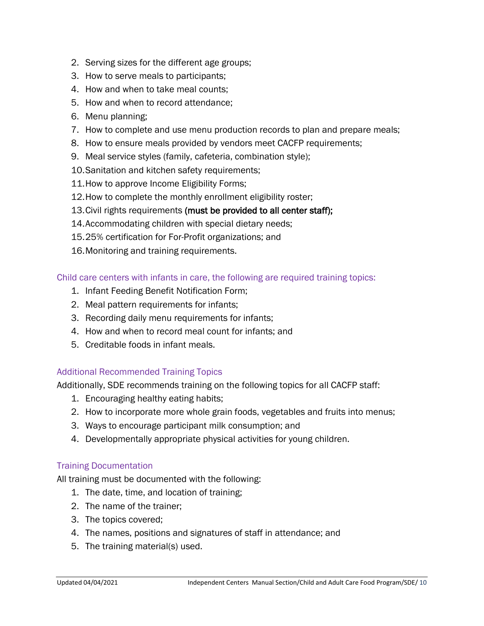- 2. Serving sizes for the different age groups;
- 3. How to serve meals to participants;
- 4. How and when to take meal counts;
- 5. How and when to record attendance;
- 6. Menu planning;
- 7. How to complete and use menu production records to plan and prepare meals;
- 8. How to ensure meals provided by vendors meet CACFP requirements;
- 9. Meal service styles (family, cafeteria, combination style);
- 10.Sanitation and kitchen safety requirements;
- 11.How to approve Income Eligibility Forms;
- 12.How to complete the monthly enrollment eligibility roster;
- 13. Civil rights requirements (must be provided to all center staff);
- 14.Accommodating children with special dietary needs;
- 15.25% certification for For-Profit organizations; and
- 16.Monitoring and training requirements.

Child care centers with infants in care, the following are required training topics:

- 1. Infant Feeding Benefit Notification Form;
- 2. Meal pattern requirements for infants;
- 3. Recording daily menu requirements for infants;
- 4. How and when to record meal count for infants; and
- 5. Creditable foods in infant meals.

### Additional Recommended Training Topics

Additionally, SDE recommends training on the following topics for all CACFP staff:

- 1. Encouraging healthy eating habits;
- 2. How to incorporate more whole grain foods, vegetables and fruits into menus;
- 3. Ways to encourage participant milk consumption; and
- 4. Developmentally appropriate physical activities for young children.

### Training Documentation

All training must be documented with the following:

- 1. The date, time, and location of training;
- 2. The name of the trainer;
- 3. The topics covered;
- 4. The names, positions and signatures of staff in attendance; and
- 5. The training material(s) used.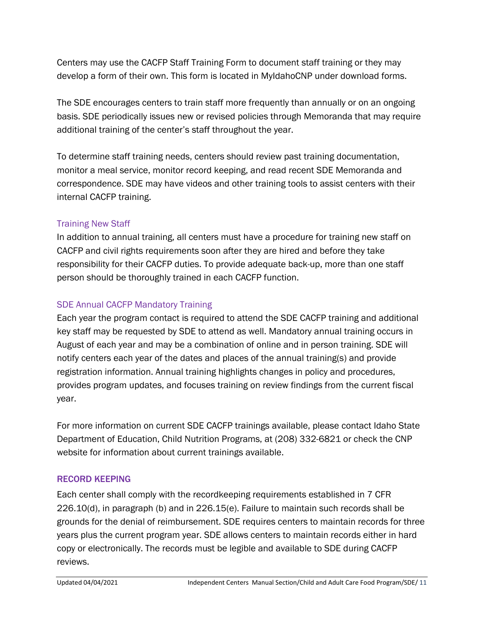Centers may use the CACFP Staff Training Form to document staff training or they may develop a form of their own. This form is located in MyIdahoCNP under download forms.

The SDE encourages centers to train staff more frequently than annually or on an ongoing basis. SDE periodically issues new or revised policies through Memoranda that may require additional training of the center's staff throughout the year.

To determine staff training needs, centers should review past training documentation, monitor a meal service, monitor record keeping, and read recent SDE Memoranda and correspondence. SDE may have videos and other training tools to assist centers with their internal CACFP training.

### Training New Staff

In addition to annual training, all centers must have a procedure for training new staff on CACFP and civil rights requirements soon after they are hired and before they take responsibility for their CACFP duties. To provide adequate back-up, more than one staff person should be thoroughly trained in each CACFP function.

# SDE Annual CACFP Mandatory Training

Each year the program contact is required to attend the SDE CACFP training and additional key staff may be requested by SDE to attend as well. Mandatory annual training occurs in August of each year and may be a combination of online and in person training. SDE will notify centers each year of the dates and places of the annual training(s) and provide registration information. Annual training highlights changes in policy and procedures, provides program updates, and focuses training on review findings from the current fiscal year.

For more information on current SDE CACFP trainings available, please contact Idaho State Department of Education, Child Nutrition Programs, at (208) 332-6821 or check the CNP website for information about current trainings available.

# RECORD KEEPING

Each center shall comply with the recordkeeping requirements established in 7 CFR 226.10(d), in paragraph (b) and in 226.15(e). Failure to maintain such records shall be grounds for the denial of reimbursement. SDE requires centers to maintain records for three years plus the current program year. SDE allows centers to maintain records either in hard copy or electronically. The records must be legible and available to SDE during CACFP reviews.